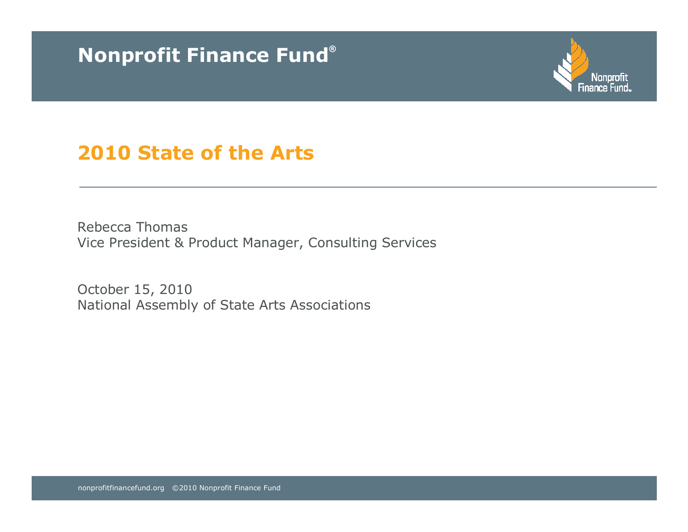# Nonprofit Finance Fund®



# 2010 State of the Arts

Rebecca ThomasVice President & Product Manager, Consulting Services

October 15, 2010National Assembly of State Arts Associations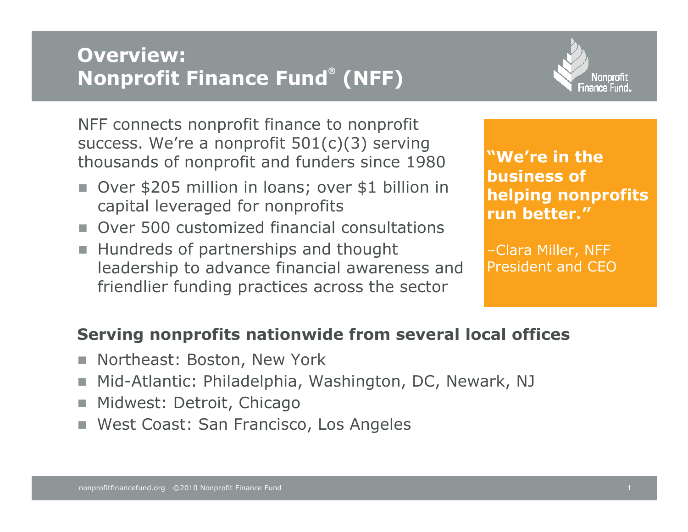# Overview:Nonprofit Finance Fund® (NFF)



NFF connects nonprofit finance to nonprofit success. We're a nonprofit 501(c)(3) serving thousands of nonprofit and funders since 1980

- Over \$205 million in loans; over \$1 billion in capital leveraged for nonprofits
- Over 500 customized financial consultations
- Hundreds of partnerships and thought leadership to advance financial awareness and friendlier funding practices across the sector

"We're in the business of helping nonprofits run better."

–Clara Miller, NFF President and CEO

### Serving nonprofits nationwide from several local offices

- m. Northeast: Boston, New York
- m. Mid-Atlantic: Philadelphia, Washington, DC, Newark, NJ
- Midwest: Detroit, Chicago
- West Coast: San Francisco, Los Angeles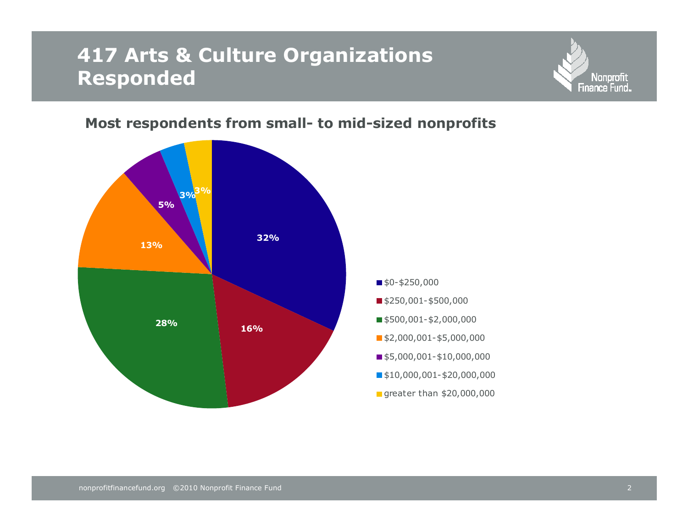## 417 Arts & Culture Organizations Responded



#### Most respondents from small- to mid-sized nonprofits

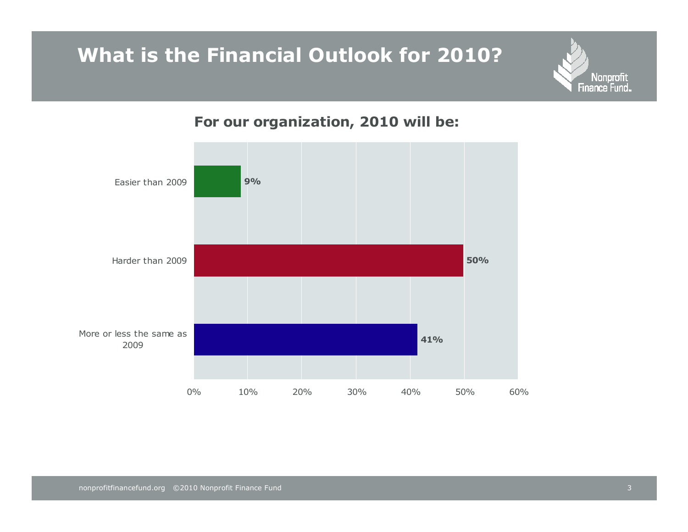# What is the Financial Outlook for 2010?



### For our organization, 2010 will be:

Nonprofit<br>Finance Fund.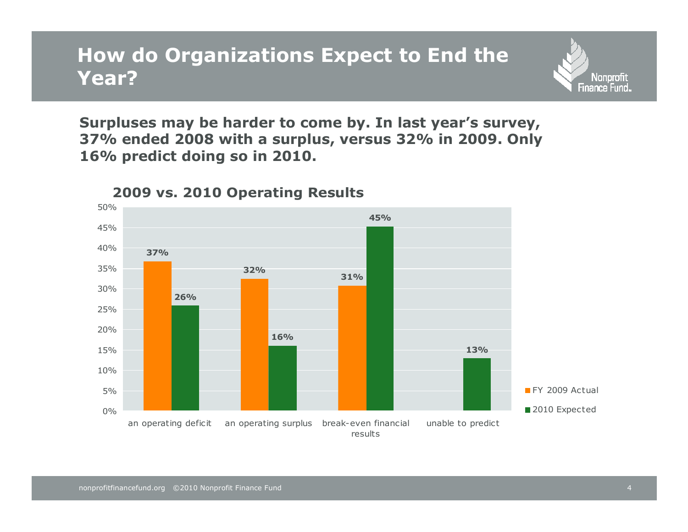## How do Organizations Expect to End the Year?

Surpluses may be harder to come by. In last year's survey, 37% ended 2008 with a surplus, versus 32% in 2009. Only 16% predict doing so in 2010.



#### 2009 vs. 2010 Operating Results

Nonprofit Finance Fund.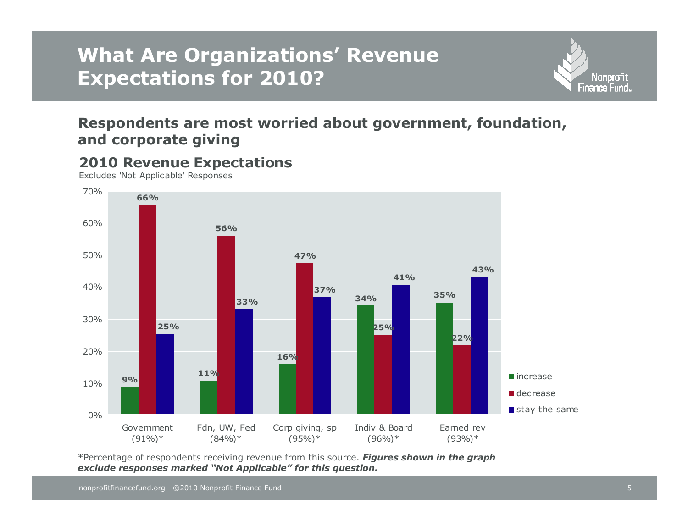# What Are Organizations' Revenue Expectations for 2010?





Excludes 'Not Applicable' Responses

2010 Revenue Expectations

\*Percentage of respondents receiving revenue from this source. Figures shown in the graph exclude responses marked "Not Applicable" for this question.

**Nonprofit** Finance Fund..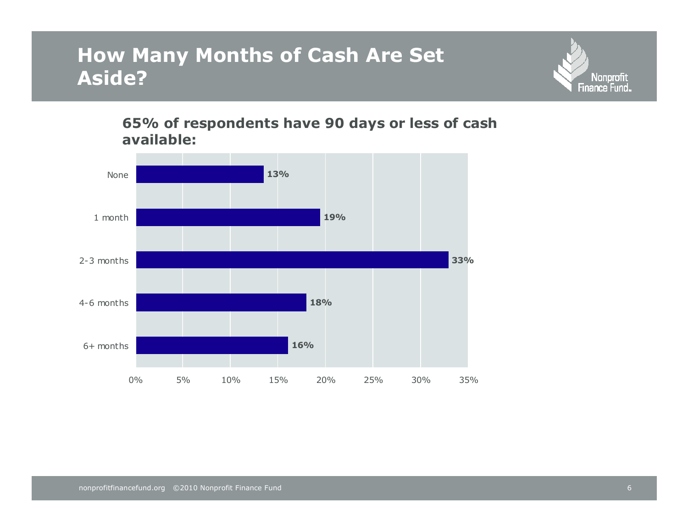# How Many Months of Cash Are Set Aside?



#### 65% of respondents have 90 days or less of cash available:

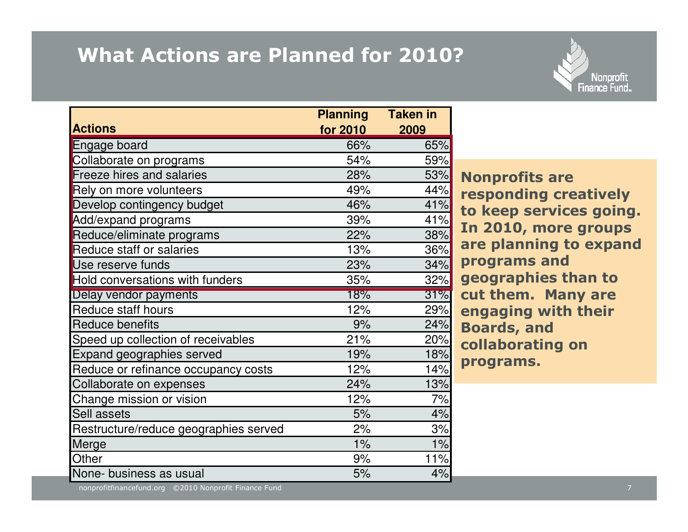# What Actions are Planned for 2010?



|                                       | <b>Planning</b> | <b>Taken in</b> |
|---------------------------------------|-----------------|-----------------|
| <b>Actions</b>                        | for 2010        | 2009            |
| Engage board                          | 66%             | 65%             |
| Collaborate on programs               | 54%             | 59%             |
| <b>Freeze hires and salaries</b>      | 28%             | 53%             |
| Rely on more volunteers               | 49%             | 44%             |
| Develop contingency budget            | 46%             | 41%             |
| Add/expand programs                   | 39%             | 41%             |
| Reduce/eliminate programs             | 22%             | 38%             |
| <b>Reduce staff or salaries</b>       | 13%             | 36%             |
| Use reserve funds                     | 23%             | 34%             |
| Hold conversations with funders       | 35%             | 32%             |
| Delay vendor payments                 | 18%             | 31%             |
| Reduce staff hours                    | 12%             | 29%             |
| <b>Reduce benefits</b>                | 9%              | 24%             |
| Speed up collection of receivables    | 21%             | 20%             |
| Expand geographies served             | 19%             | 18%             |
| Reduce or refinance occupancy costs   | 12%             | 14%             |
| Collaborate on expenses               | 24%             | 13%             |
| Change mission or vision              | 12%             | 7%              |
| Sell assets                           | 5%              | 4%              |
| Restructure/reduce geographies served | 2%              | 3%              |
| Merge                                 | 1%              | 1%              |
| Other                                 | 9%              | 11%             |
| None- business as usual               | 5%              | 4%              |

Nonprofits are responding creatively to keep services going. In 2010, more groups are planning to expand programs and geographies than to cut them. Many are engaging with their Boards, and collaborating on programs.

nonprofitfinancefund.org ©2010 Nonprofit Finance Fundd and the contract of the contract of the contract of the contract of the contract of the contract of the contract of the contract of the contract of the contract of the contract of the contract of the contract of the cont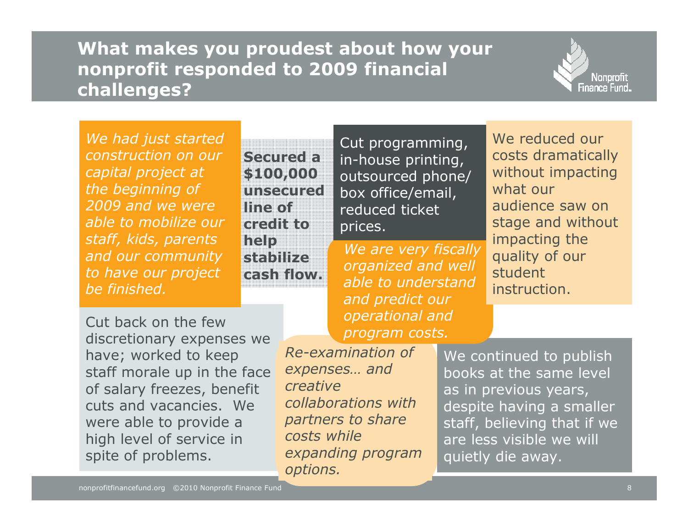### What makes you proudest about how your nonprofit responded to 2009 financial challenges?



We had just started construction on our capital project at the beginning of 2009 and we were able to mobilize our staff, kids, parents and our community to have our project be finished.

Secured a \$100,000 unsecured line of credit to help stabilize cash flow.

Cut programming, in-house printing, outsourced phone/ box office/email, reduced ticket prices.

We are very fiscally organized and well able to understand and predict our operational and program costs.

We reduced our costs dramatically without impacting what our audience saw on stage and without impacting the quality of our student instruction.

Cut back on the few discretionary expenses we have; worked to keep staff morale up in the face of salary freezes, benefit cuts and vacancies. We were able to provide a high level of service in spite of problems.

Re-examination of expenses… and creative collaborations with partners to share costs while expanding program options.

We continued to publish books at the same level as in previous years, despite having a smaller staff, believing that if we are less visible we will quietly die away.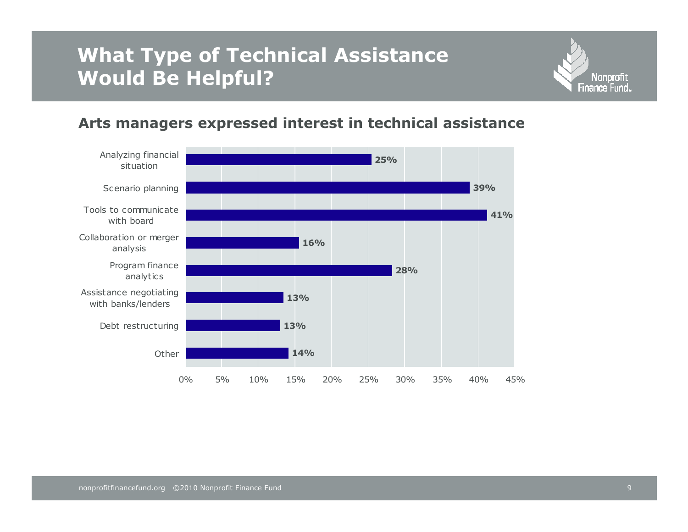# What Type of Technical Assistance Would Be Helpful?



#### Arts managers expressed interest in technical assistance

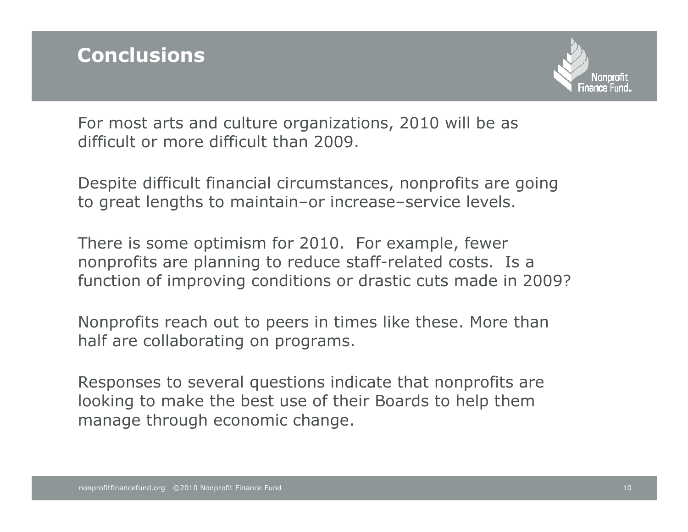

For most arts and culture organizations, 2010 will be as difficult or more difficult than 2009.

Despite difficult financial circumstances, nonprofits are going to great lengths to maintain–or increase–service levels.

There is some optimism for 2010. For example, fewer nonprofits are planning to reduce staff-related costs. Is a function of improving conditions or drastic cuts made in 2009?

Nonprofits reach out to peers in times like these. More than half are collaborating on programs.

Responses to several questions indicate that nonprofits are looking to make the best use of their Boards to help them manage through economic change.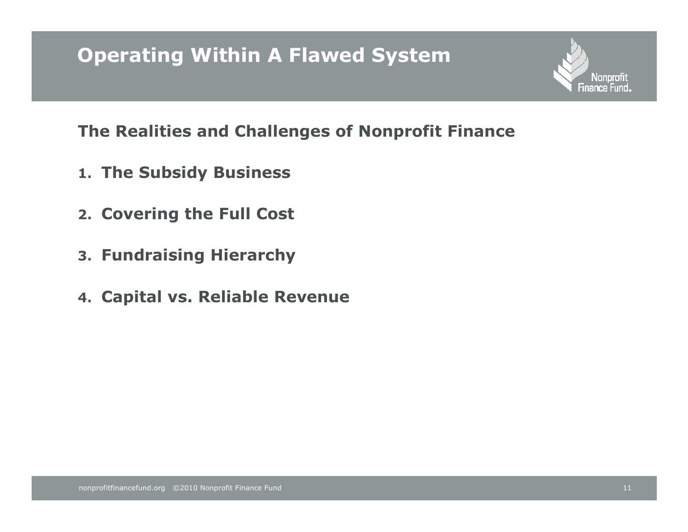# Operating Within A Flawed System

The Realities and Challenges of Nonprofit Finance

- 1. The Subsidy Business
- 2. Covering the Full Cost
- 3. Fundraising Hierarchy
- 4. Capital vs. Reliable Revenue

**Nonprofit** Finance Fund.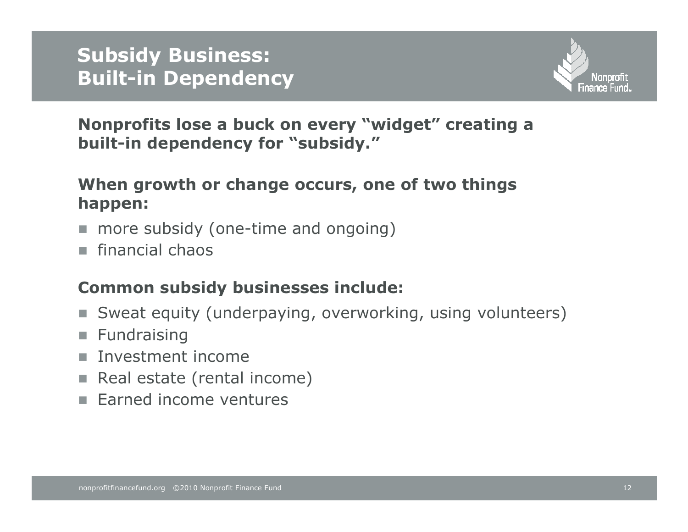

Nonprofits lose a buck on every "widget" creating a built-in dependency for "subsidy."

### When growth or change occurs, one of two things happen:

- more subsidy (one-time and ongoing)
- financial chaos

### Common subsidy businesses include:

- n. Sweat equity (underpaying, overworking, using volunteers)
- **Fundraising**
- Investment income
- Real estate (rental income)
- Earned income ventures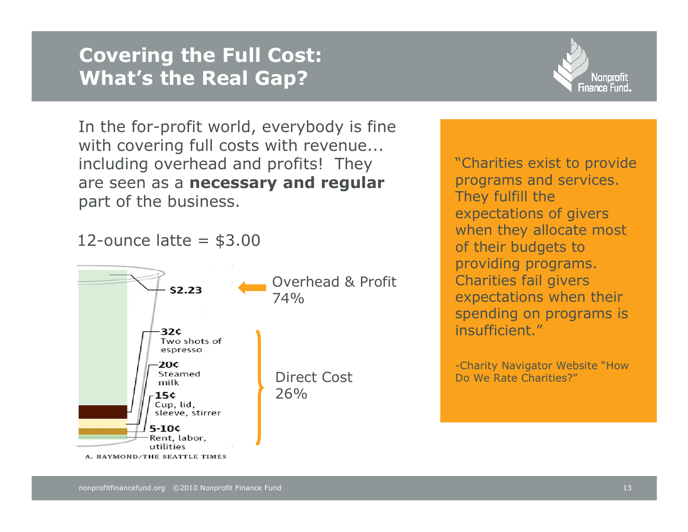## Covering the Full Cost: What's the Real Gap?

In the for-profit world, everybody is fine with covering full costs with revenue... including overhead and profits! They are seen as a necessary and regular part of the business.

12-ounce latte  $=$  \$3.00





"Charities exist to provide programs and services. They fulfill the expectations of givers when they allocate most of their budgets to providing programs. Charities fail givers expectations when their spending on programs is insufficient."

-Charity Navigator Website "How Do We Rate Charities?"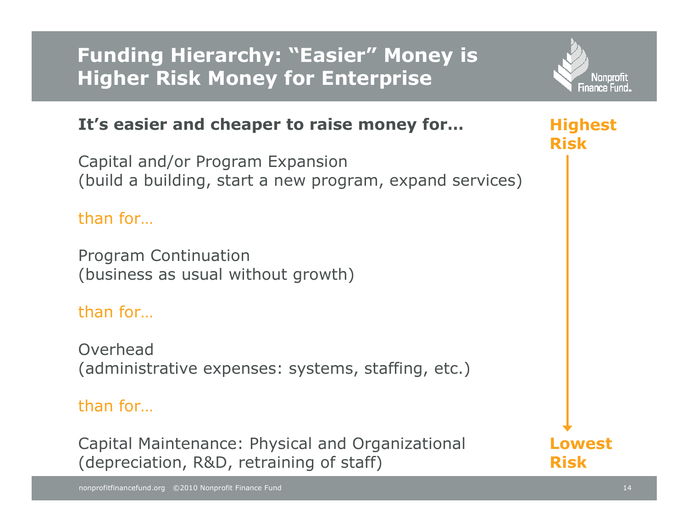Funding Hierarchy: "Easier" Money is Higher Risk Money for Enterprise



### It's easier and cheaper to raise money for…

Capital and/or Program Expansion(build a building, start a new program, expand services)

### than for…

Program Continuation(business as usual without growth)

### than for…

Overhead(administrative expenses: systems, staffing, etc.)

### than for…

Capital Maintenance: Physical and Organizational(depreciation, R&D, retraining of staff)

Highest Risk

Lowest Risk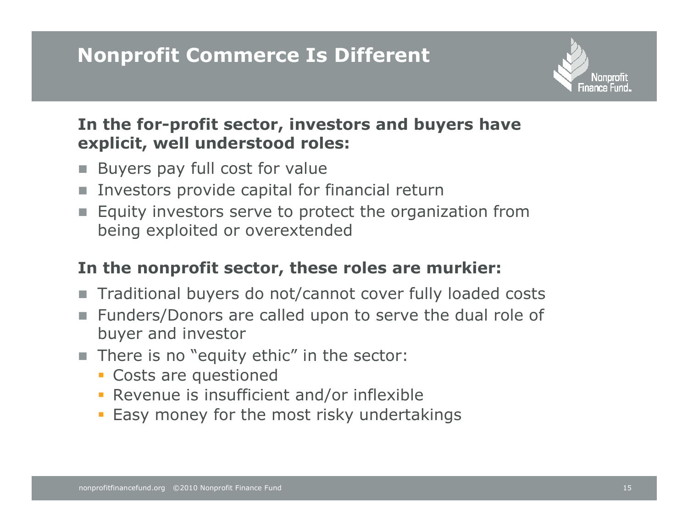# Nonprofit Commerce Is Different



### In the for-profit sector, investors and buyers have explicit, well understood roles:

- Buyers pay full cost for value
- **Investors provide capital for financial return**
- **Equity investors serve to protect the organization from** being exploited or overextended

### In the nonprofit sector, these roles are murkier:

- Traditional buyers do not/cannot cover fully loaded costs
- Funders/Donors are called upon to serve the dual role of buyer and investor
- **I** There is no "equity ethic" in the sector:
	- Costs are questioned
	- Revenue is insufficient and/or inflexible
	- Easy money for the most risky undertakings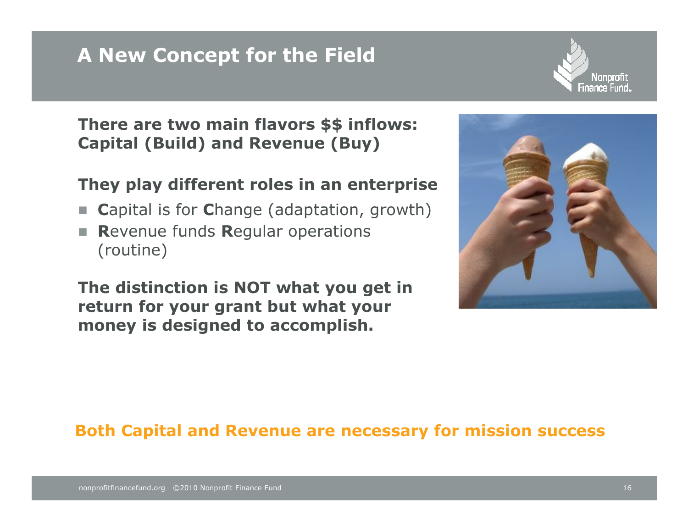# A New Concept for the Field



There are two main flavors \$\$ inflows: Capital (Build) and Revenue (Buy)

### They play different roles in an enterprise

- **College** <sup>C</sup>apital is for Change (adaptation, growth)
- **The Contract**  <sup>R</sup>evenue funds Regular operations (routine)

The distinction is NOT what you get in return for your grant but what your money is designed to accomplish.



### Both Capital and Revenue are necessary for mission success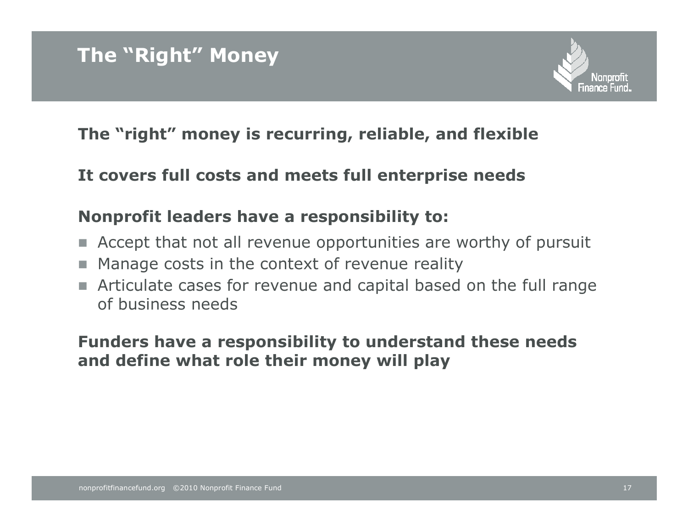

### The "right" money is recurring, reliable, and flexible

### It covers full costs and meets full enterprise needs

### Nonprofit leaders have a responsibility to:

- **Accept that not all revenue opportunities are worthy of pursuit**
- Manage costs in the context of revenue reality
- **Articulate cases for revenue and capital based on the full range** of business needs

### Funders have a responsibility to understand these needs and define what role their money will play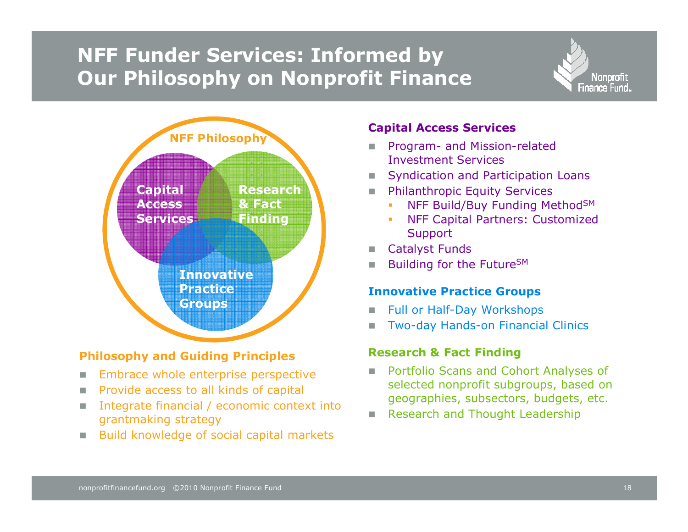# NFF Funder Services: Informed by Our Philosophy on Nonprofit Finance



#### Philosophy and Guiding Principles

- $\mathcal{L}_{\mathcal{A}}$ Embrace whole enterprise perspective
- m. Provide access to all kinds of capital
- m. Integrate financial / economic context into grantmaking strategy
- m. Build knowledge of social capital markets

#### Capital Access Services

- **Program- and Mission-related**<br>Investment Services Investment Services
- **Syndication and Participation Loans**
- **Philanthropic Equity Services** 
	- NFF Build/Buy Funding Method<sup>SM</sup>
	- - NFF Capital Partners: Customized Support
- **Catalyst Funds** m.
- $\mathcal{L}_{\mathcal{A}}$ Building for the Future<sup>SM</sup>

#### Innovative Practice Groups

- $\mathcal{L}_{\mathcal{A}}$ Full or Half-Day Workshops
- ш Two-day Hands-on Financial Clinics

#### Research & Fact Finding

- **Portfolio Scans and Cohort Analyses of** selected nonprofit subgroups, based on geographies, subsectors, budgets, etc.
- **Research and Thought Leadership**

**Nonprofit** Finance Fund..